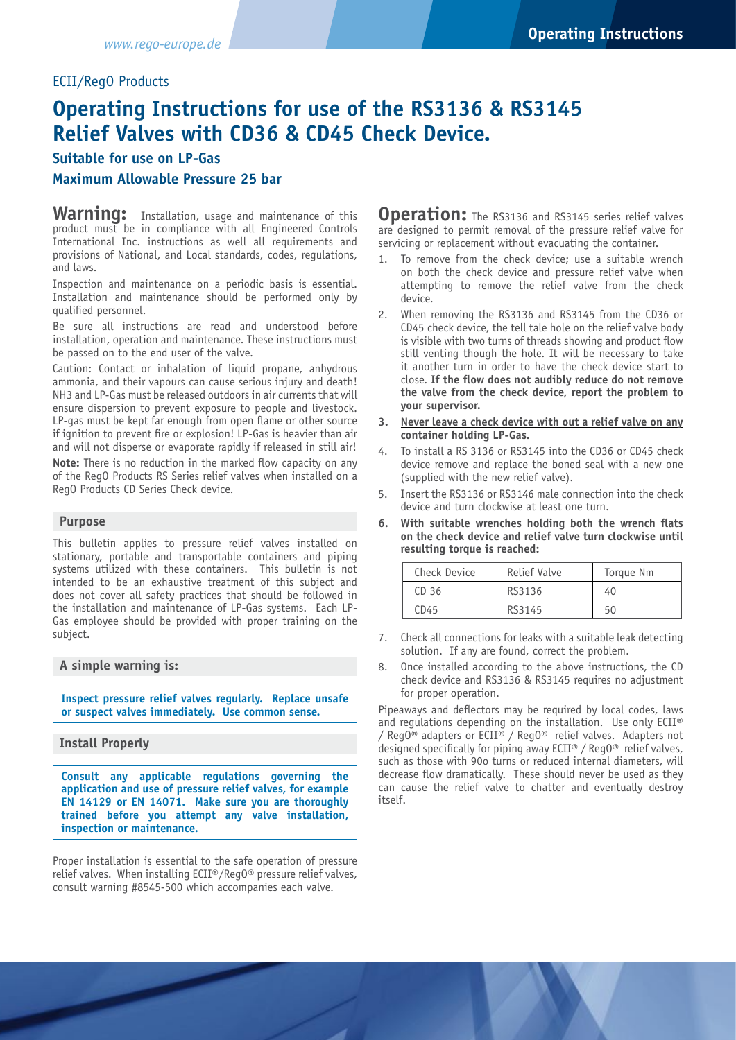# ECII/RegO Products

# **Operating Instructions for use of the RS3136 & RS3145 Relief Valves with CD36 & CD45 Check Device.**

## **Suitable for use on LP-Gas**

## **Maximum Allowable Pressure 25 bar**

Warning: Installation, usage and maintenance of this product must be in compliance with all Engineered Controls International Inc. instructions as well all requirements and provisions of National, and Local standards, codes, regulations, and laws.

Inspection and maintenance on a periodic basis is essential. Installation and maintenance should be performed only by qualified personnel.

Be sure all instructions are read and understood before installation, operation and maintenance. These instructions must be passed on to the end user of the valve.

Caution: Contact or inhalation of liquid propane, anhydrous ammonia, and their vapours can cause serious injury and death! NH3 and LP-Gas must be released outdoors in air currents that will ensure dispersion to prevent exposure to people and livestock. LP-gas must be kept far enough from open flame or other source if ignition to prevent fire or explosion! LP-Gas is heavier than air and will not disperse or evaporate rapidly if released in still air!

**Note:** There is no reduction in the marked flow capacity on any of the RegO Products RS Series relief valves when installed on a RegO Products CD Series Check device.

#### **Purpose**

This bulletin applies to pressure relief valves installed on stationary, portable and transportable containers and piping systems utilized with these containers. This bulletin is not intended to be an exhaustive treatment of this subject and does not cover all safety practices that should be followed in the installation and maintenance of LP-Gas systems. Each LP-Gas employee should be provided with proper training on the subject.

#### **A simple warning is:**

**Inspect pressure relief valves regularly. Replace unsafe or suspect valves immediately. Use common sense.**

#### **Install Properly**

**Consult any applicable regulations governing the application and use of pressure relief valves, for example EN 14129 or EN 14071. Make sure you are thoroughly trained before you attempt any valve installation, inspection or maintenance.**

Proper installation is essential to the safe operation of pressure relief valves. When installing ECII®/RegO® pressure relief valves, consult warning #8545-500 which accompanies each valve.

**Operation:** The RS3136 and RS3145 series relief valves are designed to permit removal of the pressure relief valve for servicing or replacement without evacuating the container.

- 1. To remove from the check device; use a suitable wrench on both the check device and pressure relief valve when attempting to remove the relief valve from the check device.
- 2. When removing the RS3136 and RS3145 from the CD36 or CD45 check device, the tell tale hole on the relief valve body is visible with two turns of threads showing and product flow still venting though the hole. It will be necessary to take it another turn in order to have the check device start to close. **If the flow does not audibly reduce do not remove the valve from the check device, report the problem to your supervisor.**
- **3. Never leave a check device with out a relief valve on any container holding LP-Gas.**
- 4. To install a RS 3136 or RS3145 into the CD36 or CD45 check device remove and replace the boned seal with a new one (supplied with the new relief valve).
- 5. Insert the RS3136 or RS3146 male connection into the check device and turn clockwise at least one turn.
- **6. With suitable wrenches holding both the wrench flats on the check device and relief valve turn clockwise until resulting torque is reached:**

| Check Device     | Relief Valve | Torque Nm |
|------------------|--------------|-----------|
| CD <sub>36</sub> | RS3136       | 40        |
| CD45             | RS3145       | 50        |

- 7. Check all connections for leaks with a suitable leak detecting solution. If any are found, correct the problem.
- 8. Once installed according to the above instructions, the CD check device and RS3136 & RS3145 requires no adjustment for proper operation.

Pipeaways and deflectors may be required by local codes, laws and regulations depending on the installation. Use only ECII® / Reg0<sup>®</sup> adapters or ECII<sup>®</sup> / Reg0<sup>®</sup> relief valves. Adapters not designed specifically for piping away ECII® /  $RegO@$  relief valves, such as those with 90o turns or reduced internal diameters, will decrease flow dramatically. These should never be used as they can cause the relief valve to chatter and eventually destroy itself.